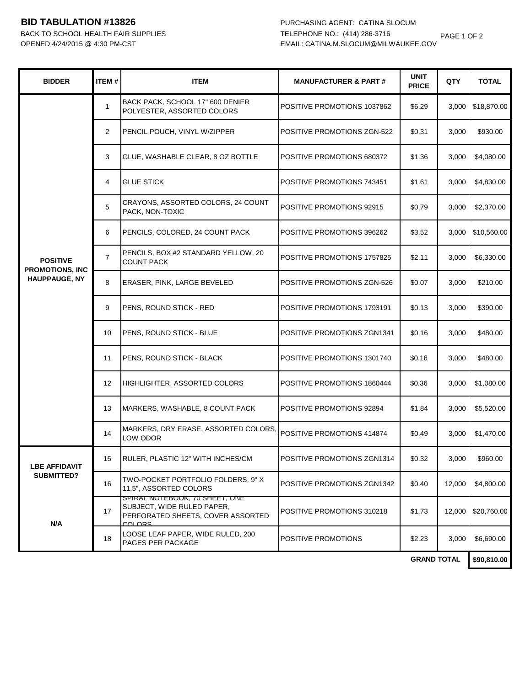## **BID TABULATION #13826** PURCHASING AGENT: CATINA SLOCUM

BACK TO SCHOOL HEALTH FAIR SUPPLIES

| <b>BIDDER</b>                                                     | ITEM#          | <b>ITEM</b>                                                                                                  | <b>MANUFACTURER &amp; PART#</b> | <b>UNIT</b><br><b>PRICE</b> | QTY    | <b>TOTAL</b> |
|-------------------------------------------------------------------|----------------|--------------------------------------------------------------------------------------------------------------|---------------------------------|-----------------------------|--------|--------------|
| <b>POSITIVE</b><br><b>PROMOTIONS, INC</b><br><b>HAUPPAUGE, NY</b> | $\mathbf{1}$   | BACK PACK, SCHOOL 17" 600 DENIER<br>POLYESTER, ASSORTED COLORS                                               | POSITIVE PROMOTIONS 1037862     | \$6.29                      | 3,000  | \$18,870.00  |
|                                                                   | $\overline{2}$ | PENCIL POUCH, VINYL W/ZIPPER                                                                                 | POSITIVE PROMOTIONS ZGN-522     | \$0.31                      | 3,000  | \$930.00     |
|                                                                   | 3              | GLUE, WASHABLE CLEAR, 8 OZ BOTTLE                                                                            | POSITIVE PROMOTIONS 680372      | \$1.36                      | 3,000  | \$4,080.00   |
|                                                                   | 4              | <b>GLUE STICK</b>                                                                                            | POSITIVE PROMOTIONS 743451      | \$1.61                      | 3,000  | \$4,830.00   |
|                                                                   | 5              | CRAYONS, ASSORTED COLORS, 24 COUNT<br>PACK, NON-TOXIC                                                        | POSITIVE PROMOTIONS 92915       | \$0.79                      | 3,000  | \$2,370.00   |
|                                                                   | 6              | PENCILS, COLORED, 24 COUNT PACK                                                                              | POSITIVE PROMOTIONS 396262      | \$3.52                      | 3,000  | \$10,560.00  |
|                                                                   | $\overline{7}$ | PENCILS, BOX #2 STANDARD YELLOW, 20<br><b>COUNT PACK</b>                                                     | POSITIVE PROMOTIONS 1757825     | \$2.11                      | 3,000  | \$6,330.00   |
|                                                                   | 8              | <b>ERASER, PINK, LARGE BEVELED</b>                                                                           | POSITIVE PROMOTIONS ZGN-526     | \$0.07                      | 3,000  | \$210.00     |
|                                                                   | 9              | PENS, ROUND STICK - RED                                                                                      | POSITIVE PROMOTIONS 1793191     | \$0.13                      | 3,000  | \$390.00     |
|                                                                   | 10             | PENS, ROUND STICK - BLUE                                                                                     | POSITIVE PROMOTIONS ZGN1341     | \$0.16                      | 3,000  | \$480.00     |
|                                                                   | 11             | PENS, ROUND STICK - BLACK                                                                                    | POSITIVE PROMOTIONS 1301740     | \$0.16                      | 3,000  | \$480.00     |
|                                                                   | 12             | <b>HIGHLIGHTER, ASSORTED COLORS</b>                                                                          | POSITIVE PROMOTIONS 1860444     | \$0.36                      | 3,000  | \$1,080.00   |
|                                                                   | 13             | MARKERS, WASHABLE, 8 COUNT PACK                                                                              | POSITIVE PROMOTIONS 92894       | \$1.84                      | 3,000  | \$5,520.00   |
|                                                                   | 14             | MARKERS, DRY ERASE, ASSORTED COLORS,<br>LOW ODOR                                                             | POSITIVE PROMOTIONS 414874      | \$0.49                      | 3,000  | \$1,470.00   |
| <b>LBE AFFIDAVIT</b><br>SUBMITTED?                                | 15             | RULER, PLASTIC 12" WITH INCHES/CM                                                                            | POSITIVE PROMOTIONS ZGN1314     | \$0.32                      | 3,000  | \$960.00     |
|                                                                   | 16             | TWO-POCKET PORTFOLIO FOLDERS, 9"X<br>11.5", ASSORTED COLORS                                                  | POSITIVE PROMOTIONS ZGN1342     | \$0.40                      | 12,000 | \$4,800.00   |
| N/A                                                               | 17             | SPIRAL NOTEBOOK, 70 SHEET, ONE<br>SUBJECT, WIDE RULED PAPER,<br>PERFORATED SHEETS, COVER ASSORTED<br>COLORS. | POSITIVE PROMOTIONS 310218      | \$1.73                      | 12,000 | \$20,760.00  |
|                                                                   | 18             | LOOSE LEAF PAPER, WIDE RULED, 200<br>PAGES PER PACKAGE                                                       | POSITIVE PROMOTIONS             | \$2.23                      | 3,000  | \$6,690.00   |

**\$90,810.00 GRAND TOTAL**